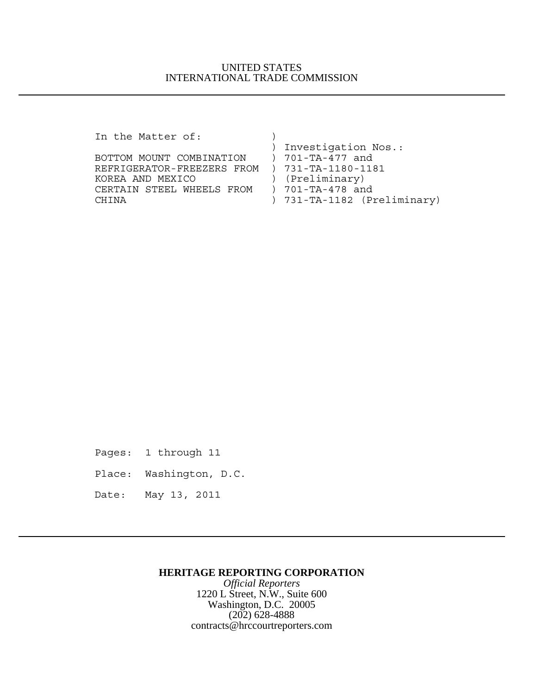## UNITED STATES INTERNATIONAL TRADE COMMISSION

In the Matter of:  $)$  ) Investigation Nos.: BOTTOM MOUNT COMBINATION ) 701-TA-477 and REFRIGERATOR-FREEZERS FROM ) 731-TA-1180-1181 KOREA AND MEXICO (Preliminary)<br>CERTAIN STEEL WHEELS FROM ) 701-TA-478 and CERTAIN STEEL WHEELS FROM CHINA ) 731-TA-1182 (Preliminary)

Pages: 1 through 11

Place: Washington, D.C.

Date: May 13, 2011

### **HERITAGE REPORTING CORPORATION**

*Official Reporters* 1220 L Street, N.W., Suite 600 Washington, D.C. 20005 (202) 628-4888 contracts@hrccourtreporters.com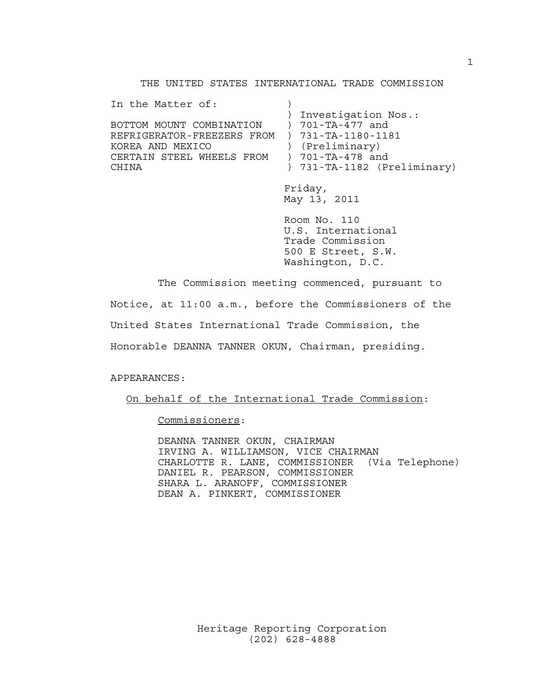### THE UNITED STATES INTERNATIONAL TRADE COMMISSION

In the Matter of: ) Investigation Nos.: BOTTOM MOUNT COMBINATION ) 701-TA-477 and REFRIGERATOR-FREEZERS FROM ) 731-TA-1180-1181 KOREA AND MEXICO (Preliminary)<br>CERTAIN STEEL WHEELS FROM ) 701-TA-478 and CERTAIN STEEL WHEELS FROM CHINA ) 731-TA-1182 (Preliminary)

> Friday, May 13, 2011

Room No. 110 U.S. International Trade Commission 500 E Street, S.W. Washington, D.C.

The Commission meeting commenced, pursuant to

Notice, at 11:00 a.m., before the Commissioners of the

United States International Trade Commission, the

Honorable DEANNA TANNER OKUN, Chairman, presiding.

#### APPEARANCES:

On behalf of the International Trade Commission:

Commissioners:

DEANNA TANNER OKUN, CHAIRMAN IRVING A. WILLIAMSON, VICE CHAIRMAN CHARLOTTE R. LANE, COMMISSIONER (Via Telephone) DANIEL R. PEARSON, COMMISSIONER SHARA L. ARANOFF, COMMISSIONER DEAN A. PINKERT, COMMISSIONER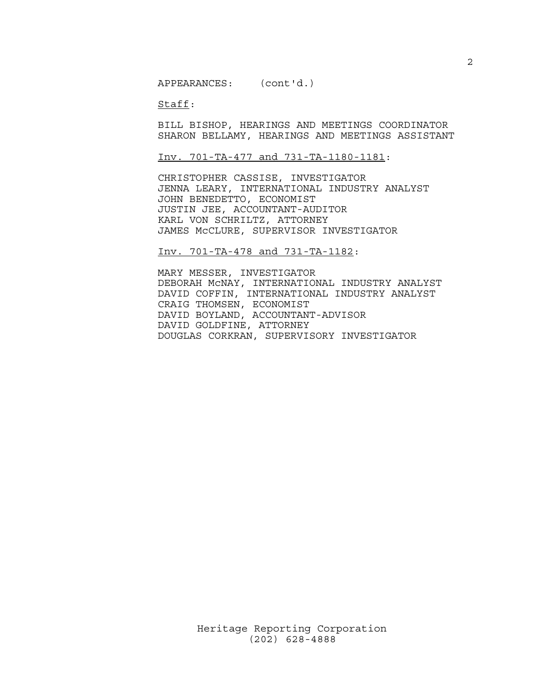APPEARANCES: (cont'd.)

Staff:

BILL BISHOP, HEARINGS AND MEETINGS COORDINATOR SHARON BELLAMY, HEARINGS AND MEETINGS ASSISTANT

Inv. 701-TA-477 and 731-TA-1180-1181:

CHRISTOPHER CASSISE, INVESTIGATOR JENNA LEARY, INTERNATIONAL INDUSTRY ANALYST JOHN BENEDETTO, ECONOMIST JUSTIN JEE, ACCOUNTANT-AUDITOR KARL VON SCHRILTZ, ATTORNEY JAMES McCLURE, SUPERVISOR INVESTIGATOR

Inv. 701-TA-478 and 731-TA-1182:

MARY MESSER, INVESTIGATOR DEBORAH McNAY, INTERNATIONAL INDUSTRY ANALYST DAVID COFFIN, INTERNATIONAL INDUSTRY ANALYST CRAIG THOMSEN, ECONOMIST DAVID BOYLAND, ACCOUNTANT-ADVISOR DAVID GOLDFINE, ATTORNEY DOUGLAS CORKRAN, SUPERVISORY INVESTIGATOR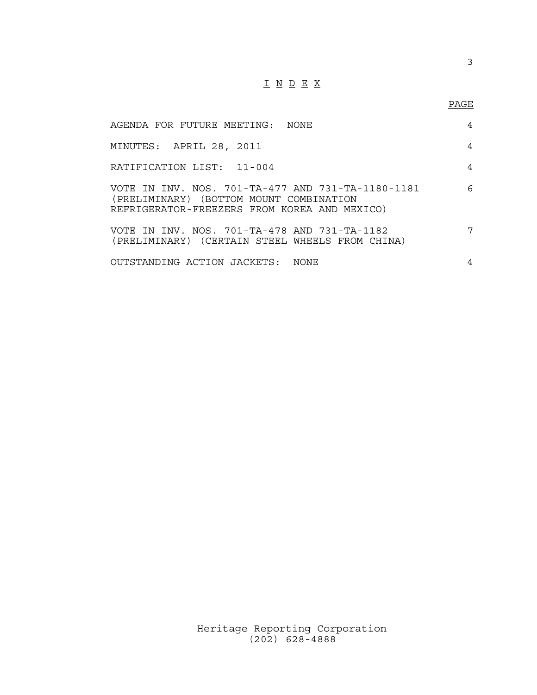# I N D E X

# PAGE

| AGENDA FOR FUTURE MEETING: NONE                                                                                                              | 4 |
|----------------------------------------------------------------------------------------------------------------------------------------------|---|
| MINUTES: APRIL 28, 2011                                                                                                                      | 4 |
| RATIFICATION LIST: 11-004                                                                                                                    | 4 |
| VOTE IN INV. NOS. 701-TA-477 AND 731-TA-1180-1181<br>(PRELIMINARY) (BOTTOM MOUNT COMBINATION<br>REFRIGERATOR-FREEZERS FROM KOREA AND MEXICO) | 6 |
| VOTE IN INV, NOS, 701-TA-478 AND 731-TA-1182<br>(PRELIMINARY) (CERTAIN STEEL WHEELS FROM CHINA)                                              | 7 |
| OUTSTANDING ACTION JACKETS: NONE                                                                                                             | 4 |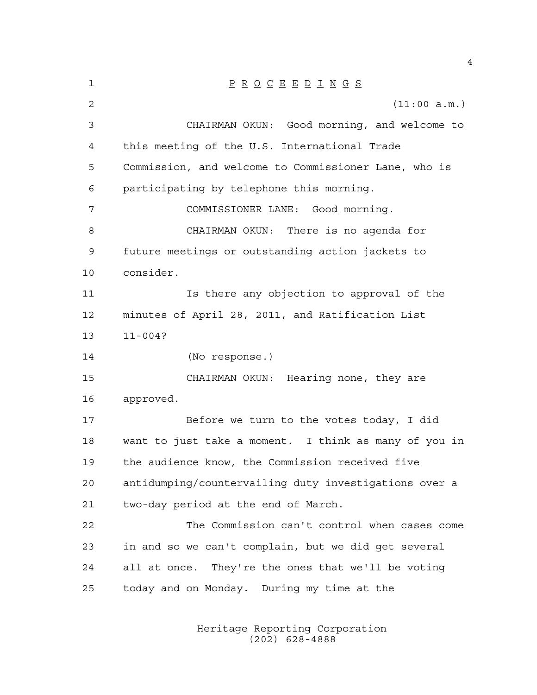| $\mathbf 1$ | $\underline{P} \underline{R} \underline{O} \underline{C} \underline{E} \underline{E} \underline{D} \underline{I} \underline{N} \underline{G} \underline{S}$ |
|-------------|-------------------------------------------------------------------------------------------------------------------------------------------------------------|
| 2           | (11:00 a.m.)                                                                                                                                                |
| 3           | CHAIRMAN OKUN: Good morning, and welcome to                                                                                                                 |
| 4           | this meeting of the U.S. International Trade                                                                                                                |
| 5           | Commission, and welcome to Commissioner Lane, who is                                                                                                        |
| 6           | participating by telephone this morning.                                                                                                                    |
| 7           | COMMISSIONER LANE: Good morning.                                                                                                                            |
| 8           | CHAIRMAN OKUN: There is no agenda for                                                                                                                       |
| 9           | future meetings or outstanding action jackets to                                                                                                            |
| 10          | consider.                                                                                                                                                   |
| 11          | Is there any objection to approval of the                                                                                                                   |
| 12          | minutes of April 28, 2011, and Ratification List                                                                                                            |
| 13          | $11 - 004?$                                                                                                                                                 |
|             |                                                                                                                                                             |
| 14          | (No response.)                                                                                                                                              |
| 15          | CHAIRMAN OKUN: Hearing none, they are                                                                                                                       |
| 16          | approved.                                                                                                                                                   |
| 17          | Before we turn to the votes today, I did                                                                                                                    |
| 18          | want to just take a moment. I think as many of you in                                                                                                       |
| 19          | the audience know, the Commission received five                                                                                                             |
| 20          | antidumping/countervailing duty investigations over a                                                                                                       |
| 21          | two-day period at the end of March.                                                                                                                         |
| 22          | The Commission can't control when cases come                                                                                                                |
| 23          | in and so we can't complain, but we did get several                                                                                                         |
| 24          | all at once. They're the ones that we'll be voting                                                                                                          |
| 25          | today and on Monday. During my time at the                                                                                                                  |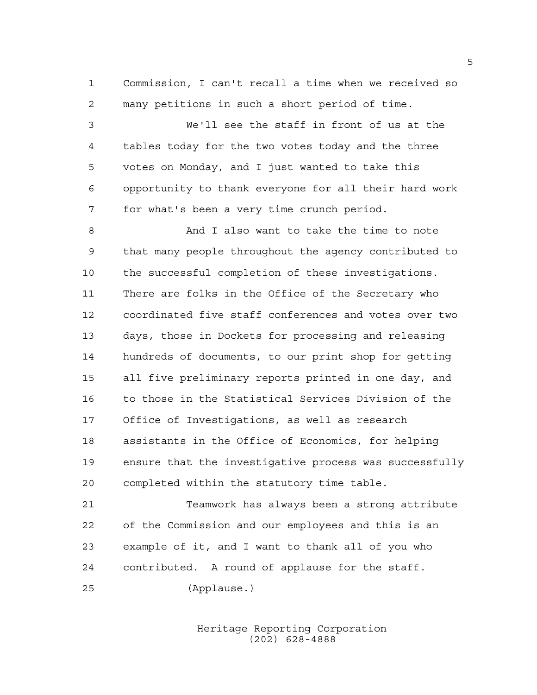Commission, I can't recall a time when we received so many petitions in such a short period of time.

 We'll see the staff in front of us at the tables today for the two votes today and the three votes on Monday, and I just wanted to take this opportunity to thank everyone for all their hard work for what's been a very time crunch period.

 And I also want to take the time to note that many people throughout the agency contributed to the successful completion of these investigations. There are folks in the Office of the Secretary who coordinated five staff conferences and votes over two days, those in Dockets for processing and releasing hundreds of documents, to our print shop for getting all five preliminary reports printed in one day, and to those in the Statistical Services Division of the Office of Investigations, as well as research assistants in the Office of Economics, for helping ensure that the investigative process was successfully completed within the statutory time table.

 Teamwork has always been a strong attribute of the Commission and our employees and this is an example of it, and I want to thank all of you who contributed. A round of applause for the staff. (Applause.)

> Heritage Reporting Corporation (202) 628-4888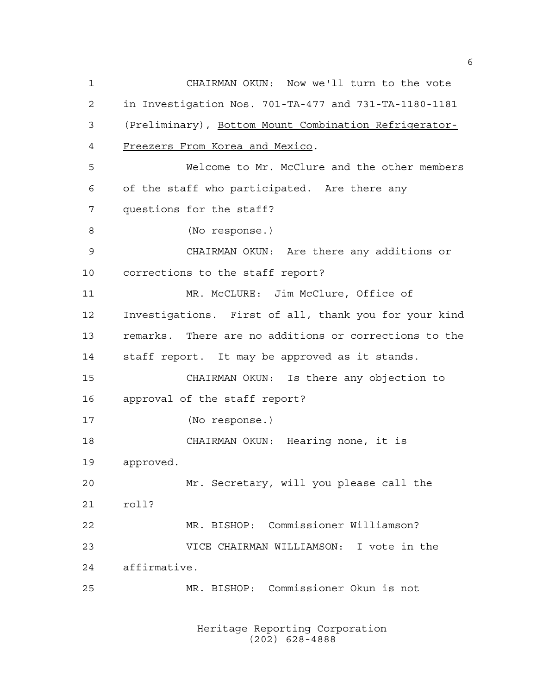CHAIRMAN OKUN: Now we'll turn to the vote in Investigation Nos. 701-TA-477 and 731-TA-1180-1181 (Preliminary), Bottom Mount Combination Refrigerator- Freezers From Korea and Mexico. Welcome to Mr. McClure and the other members of the staff who participated. Are there any questions for the staff? (No response.) CHAIRMAN OKUN: Are there any additions or corrections to the staff report? MR. McCLURE: Jim McClure, Office of Investigations. First of all, thank you for your kind remarks. There are no additions or corrections to the staff report. It may be approved as it stands. CHAIRMAN OKUN: Is there any objection to approval of the staff report? (No response.) CHAIRMAN OKUN: Hearing none, it is approved. Mr. Secretary, will you please call the roll? MR. BISHOP: Commissioner Williamson? VICE CHAIRMAN WILLIAMSON: I vote in the affirmative. MR. BISHOP: Commissioner Okun is not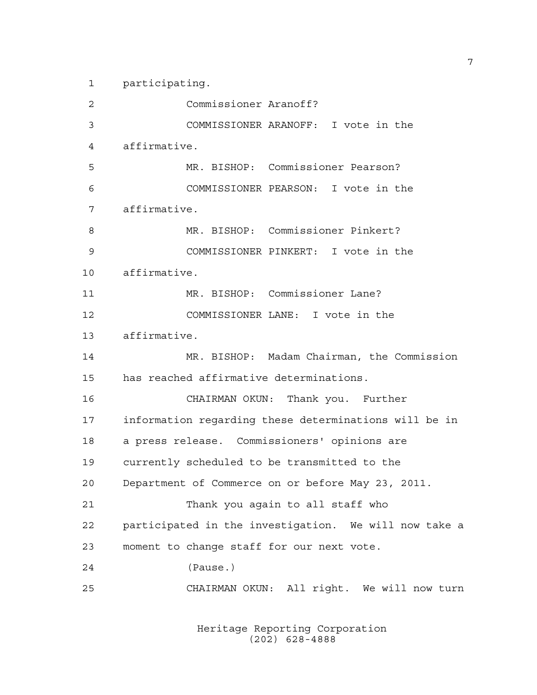participating.

 Commissioner Aranoff? COMMISSIONER ARANOFF: I vote in the affirmative. MR. BISHOP: Commissioner Pearson? COMMISSIONER PEARSON: I vote in the affirmative. MR. BISHOP: Commissioner Pinkert? COMMISSIONER PINKERT: I vote in the affirmative. MR. BISHOP: Commissioner Lane? COMMISSIONER LANE: I vote in the affirmative. MR. BISHOP: Madam Chairman, the Commission has reached affirmative determinations. CHAIRMAN OKUN: Thank you. Further information regarding these determinations will be in a press release. Commissioners' opinions are currently scheduled to be transmitted to the Department of Commerce on or before May 23, 2011. Thank you again to all staff who participated in the investigation. We will now take a moment to change staff for our next vote. (Pause.) CHAIRMAN OKUN: All right. We will now turn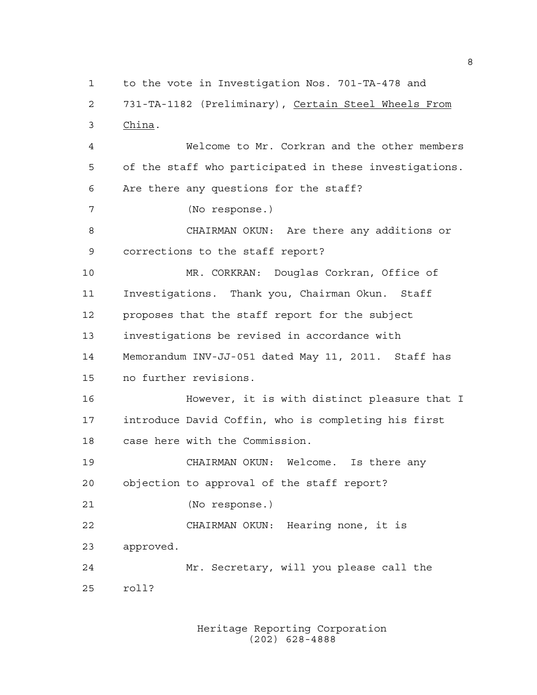to the vote in Investigation Nos. 701-TA-478 and 731-TA-1182 (Preliminary), Certain Steel Wheels From China. Welcome to Mr. Corkran and the other members of the staff who participated in these investigations. Are there any questions for the staff? (No response.) CHAIRMAN OKUN: Are there any additions or corrections to the staff report? MR. CORKRAN: Douglas Corkran, Office of Investigations. Thank you, Chairman Okun. Staff proposes that the staff report for the subject investigations be revised in accordance with Memorandum INV-JJ-051 dated May 11, 2011. Staff has no further revisions. However, it is with distinct pleasure that I introduce David Coffin, who is completing his first case here with the Commission. CHAIRMAN OKUN: Welcome. Is there any objection to approval of the staff report? (No response.) CHAIRMAN OKUN: Hearing none, it is approved. Mr. Secretary, will you please call the roll?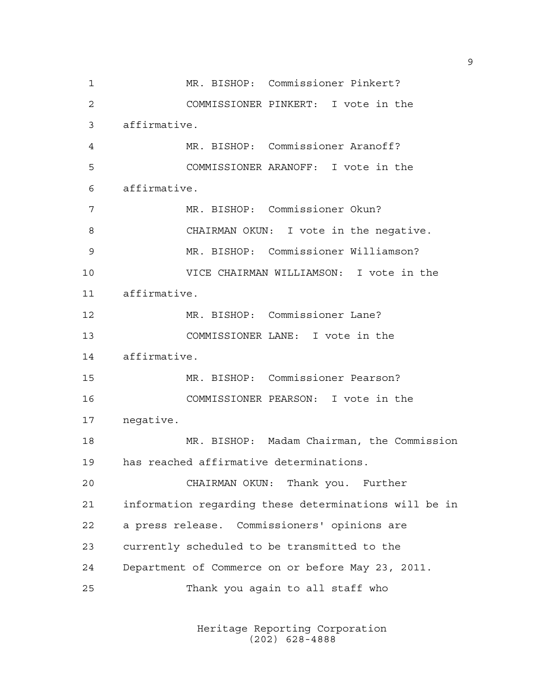MR. BISHOP: Commissioner Pinkert? COMMISSIONER PINKERT: I vote in the affirmative. MR. BISHOP: Commissioner Aranoff? COMMISSIONER ARANOFF: I vote in the affirmative. MR. BISHOP: Commissioner Okun? CHAIRMAN OKUN: I vote in the negative. MR. BISHOP: Commissioner Williamson? VICE CHAIRMAN WILLIAMSON: I vote in the affirmative. MR. BISHOP: Commissioner Lane? COMMISSIONER LANE: I vote in the affirmative. MR. BISHOP: Commissioner Pearson? COMMISSIONER PEARSON: I vote in the negative. MR. BISHOP: Madam Chairman, the Commission has reached affirmative determinations. CHAIRMAN OKUN: Thank you. Further information regarding these determinations will be in a press release. Commissioners' opinions are currently scheduled to be transmitted to the Department of Commerce on or before May 23, 2011. Thank you again to all staff who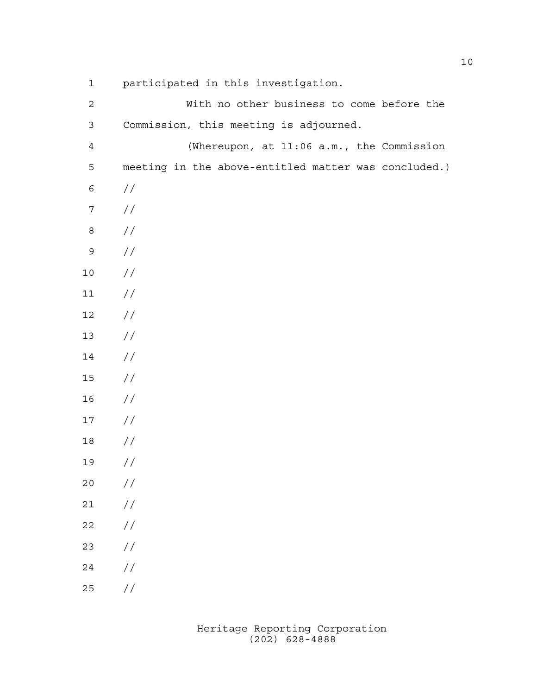| $\mathbf 1$      | participated in this investigation.                  |
|------------------|------------------------------------------------------|
| $\mathbf{2}$     | With no other business to come before the            |
| $\mathfrak{Z}$   | Commission, this meeting is adjourned.               |
| $\overline{4}$   | (Whereupon, at 11:06 a.m., the Commission            |
| 5                | meeting in the above-entitled matter was concluded.) |
| 6                | $\frac{1}{2}$                                        |
| $\boldsymbol{7}$ | $\frac{1}{2}$                                        |
| 8                | $\frac{1}{2}$                                        |
| 9                | $\frac{1}{2}$                                        |
| $10$             | $\frac{1}{2}$                                        |
| 11               | $\frac{1}{2}$                                        |
| 12               | $\frac{1}{2}$                                        |
| 13               | $\frac{1}{2}$                                        |
| 14               | $\frac{1}{2}$                                        |
| 15               | $\frac{1}{2}$                                        |
| 16               | $\frac{1}{2}$                                        |
| 17               | $\frac{1}{2}$                                        |
| 18               | $\frac{1}{2}$                                        |
| 19               | $\frac{1}{2}$                                        |
| 20               | $\frac{1}{2}$                                        |
| 21               | $\sqrt{}$                                            |
| 22               | $\sqrt{}$                                            |
| 23               | $\sqrt{}$                                            |
| 24               | $\!/\!$                                              |
|                  |                                                      |

//